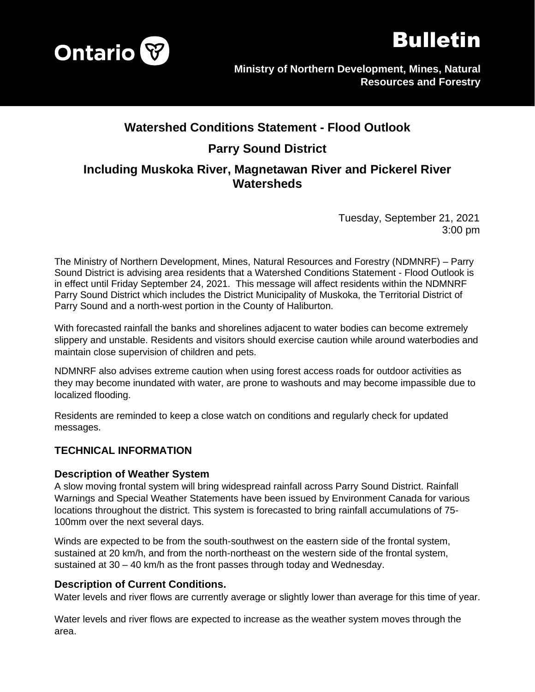



# **Watershed Conditions Statement - Flood Outlook Parry Sound District Including Muskoka River, Magnetawan River and Pickerel River Watersheds**

Tuesday, September 21, 2021 3:00 pm

The Ministry of Northern Development, Mines, Natural Resources and Forestry (NDMNRF) – Parry Sound District is advising area residents that a Watershed Conditions Statement - Flood Outlook is in effect until Friday September 24, 2021. This message will affect residents within the NDMNRF Parry Sound District which includes the District Municipality of Muskoka, the Territorial District of Parry Sound and a north-west portion in the County of Haliburton.

With forecasted rainfall the banks and shorelines adjacent to water bodies can become extremely slippery and unstable. Residents and visitors should exercise caution while around waterbodies and maintain close supervision of children and pets.

NDMNRF also advises extreme caution when using forest access roads for outdoor activities as they may become inundated with water, are prone to washouts and may become impassible due to localized flooding.

Residents are reminded to keep a close watch on conditions and regularly check for updated messages.

## **TECHNICAL INFORMATION**

#### **Description of Weather System**

A slow moving frontal system will bring widespread rainfall across Parry Sound District. Rainfall Warnings and Special Weather Statements have been issued by Environment Canada for various locations throughout the district. This system is forecasted to bring rainfall accumulations of 75- 100mm over the next several days.

Winds are expected to be from the south-southwest on the eastern side of the frontal system, sustained at 20 km/h, and from the north-northeast on the western side of the frontal system, sustained at 30 – 40 km/h as the front passes through today and Wednesday.

#### **Description of Current Conditions.**

Water levels and river flows are currently average or slightly lower than average for this time of year.

Water levels and river flows are expected to increase as the weather system moves through the area.